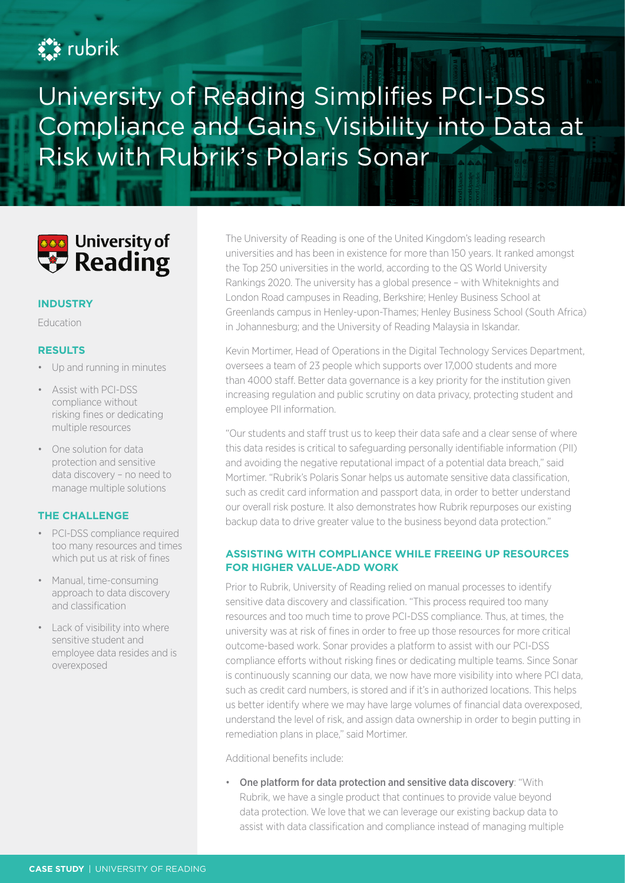# **Ext** rubrik

# University of Reading Simplifies PCI-DSS Compliance and Gains Visibility into Data at Risk with Rubrik's Polaris Sonar



#### **INDUSTRY**

Education

### **RESULTS**

- Up and running in minutes
- Assist with PCI-DSS compliance without risking fines or dedicating multiple resources
- One solution for data protection and sensitive data discovery – no need to manage multiple solutions

#### **THE CHALLENGE**

- PCI-DSS compliance required too many resources and times which put us at risk of fines
- Manual, time-consuming approach to data discovery and classification
- Lack of visibility into where sensitive student and employee data resides and is overexposed

The University of Reading is one of the United Kingdom's leading research universities and has been in existence for more than 150 years. It ranked amongst the Top 250 universities in the world, according to the QS World University Rankings 2020. The university has a global presence – with Whiteknights and London Road campuses in Reading, Berkshire; Henley Business School at Greenlands campus in Henley-upon-Thames; Henley Business School (South Africa) in Johannesburg; and the University of Reading Malaysia in Iskandar.

Kevin Mortimer, Head of Operations in the Digital Technology Services Department, oversees a team of 23 people which supports over 17,000 students and more than 4000 staff. Better data governance is a key priority for the institution given increasing regulation and public scrutiny on data privacy, protecting student and employee PII information.

"Our students and staff trust us to keep their data safe and a clear sense of where this data resides is critical to safeguarding personally identifiable information (PII) and avoiding the negative reputational impact of a potential data breach," said Mortimer. "Rubrik's Polaris Sonar helps us automate sensitive data classification, such as credit card information and passport data, in order to better understand our overall risk posture. It also demonstrates how Rubrik repurposes our existing backup data to drive greater value to the business beyond data protection."

## **ASSISTING WITH COMPLIANCE WHILE FREEING UP RESOURCES FOR HIGHER VALUE-ADD WORK**

Prior to Rubrik, University of Reading relied on manual processes to identify sensitive data discovery and classification. "This process required too many resources and too much time to prove PCI-DSS compliance. Thus, at times, the university was at risk of fines in order to free up those resources for more critical outcome-based work. Sonar provides a platform to assist with our PCI-DSS compliance efforts without risking fines or dedicating multiple teams. Since Sonar is continuously scanning our data, we now have more visibility into where PCI data, such as credit card numbers, is stored and if it's in authorized locations. This helps us better identify where we may have large volumes of financial data overexposed, understand the level of risk, and assign data ownership in order to begin putting in remediation plans in place," said Mortimer.

Additional benefits include:

• One platform for data protection and sensitive data discovery: "With Rubrik, we have a single product that continues to provide value beyond data protection. We love that we can leverage our existing backup data to assist with data classification and compliance instead of managing multiple